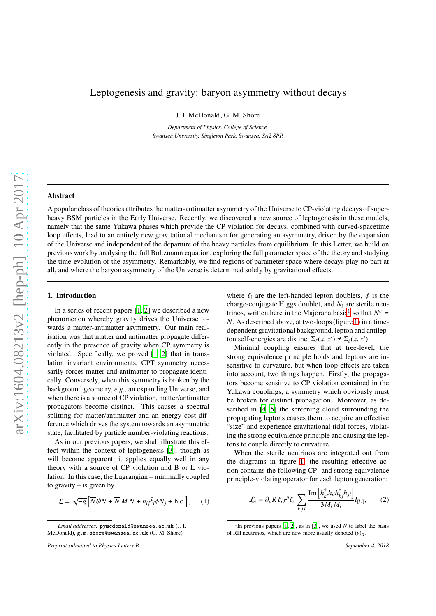# Leptogenesis and gravity: baryon asymmetry without decays

J. I. McDonald, G. M. Shore

*Department of Physics, College of Science, Swansea University, Singleton Park, Swansea, SA2 8PP.*

# Abstract

A popular class of theories attributes the matter-antimatter asymmetry of the Universe to CP-violating decays of superheavy BSM particles in the Early Universe. Recently, we discovered a new source of leptogenesis in these models, namely that the same Yukawa phases which provide the CP violation for decays, combined with curved-spacetime loop effects, lead to an entirely new gravitational mechanism for generating an asymmetry, driven by the expansion of the Universe and independent of the departure of the heavy particles from equilibrium. In this Letter, we build on previous work by analysing the full Boltzmann equation, exploring the full parameter space of the theory and studying the time-evolution of the asymmetry. Remarkably, we find regions of parameter space where decays play no part at all, and where the baryon asymmetry of the Universe is determined solely by gravitational effects.

## 1. Introduction

In a series of recent papers [\[1,](#page-9-0) [2\]](#page-9-1) we described a new phenomenon whereby gravity drives the Universe towards a matter-antimatter asymmetry. Our main realisation was that matter and antimatter propagate differently in the presence of gravity when CP symmetry is violated. Specifically, we proved [\[1](#page-9-0), [2\]](#page-9-1) that in translation invariant environments, CPT symmetry necessarily forces matter and antimatter to propagate identically. Conversely, when this symmetry is broken by the background geometry, *e.g.,* an expanding Universe, and when there is a source of CP violation, matter/antimatter propagators become distinct. This causes a spectral splitting for matter/antimatter and an energy cost difference which drives the system towards an asymmetric state, facilitated by particle number-violating reactions.

As in our previous papers, we shall illustrate this effect within the context of leptogenesis [\[3\]](#page-9-2), though as will become apparent, it applies equally well in any theory with a source of CP violation and B or L violation. In this case, the Lagrangian – minimally coupled to gravity  $-$  is given by

$$
\mathcal{L} = \sqrt{-g} \left[ \overline{N} \mathbf{D} N + \overline{N} M N + h_{ij} \overline{\ell}_i \phi N_j + \text{h.c.} \right], \quad (1)
$$

where  $\ell_i$  are the left-handed lepton doublets,  $\phi$  is the charge-conjugate Higgs doublet, and *N<sup>i</sup>* are sterile neu-trinos, written here in the Majorana basis<sup>[1](#page-0-0)</sup> so that  $N^c$  = *N*. As described above, at two-loops (figure [1\)](#page-1-0) in a timedependent gravitational background, lepton and antilepton self-energies are distinct  $\Sigma_{\ell}(x, x') \neq \Sigma_{\ell}(x, x')$ .

Minimal coupling ensures that at tree-level, the strong equivalence principle holds and leptons are insensitive to curvature, but when loop effects are taken into account, two things happen. Firstly, the propagators become sensitive to CP violation contained in the Yukawa couplings, a symmetry which obviously must be broken for distinct propagation. Moreover, as described in [\[4,](#page-9-3) [5](#page-9-4)] the screening cloud surrounding the propagating leptons causes them to acquire an effective "size" and experience gravitational tidal forces, violating the strong equivalence principle and causing the leptons to couple directly to curvature.

When the sterile neutrinos are integrated out from the diagrams in figure [1,](#page-1-0) the resulting effective action contains the following CP- and strong equivalence principle-violating operator for each lepton generation:

<span id="page-0-1"></span>
$$
\mathcal{L}_i = \partial_{\mu} R \,\bar{\ell}_i \gamma^{\mu} \ell_i \sum_{k \, j \, l} \frac{\text{Im} \left[ h_{ki}^{\dagger} h_{il} h_{kj}^{\dagger} h_{jl} \right]}{3 M_k M_l} I_{[kl]},\qquad(2)
$$

*Email addresses:* pymcdonald@swansea.ac.uk (J. I. McDonald), g.m.shore@swansea.ac.uk (G. M. Shore)

*Preprint submitted to Physics Letters B September 4, 2018*

<span id="page-0-0"></span><sup>&</sup>lt;sup>1</sup>In previous papers [\[1](#page-9-0), [2\]](#page-9-1), as in [\[3](#page-9-2)], we used *N* to label the basis of RH neutrinos, which are now more usually denoted  $(v)_R$ .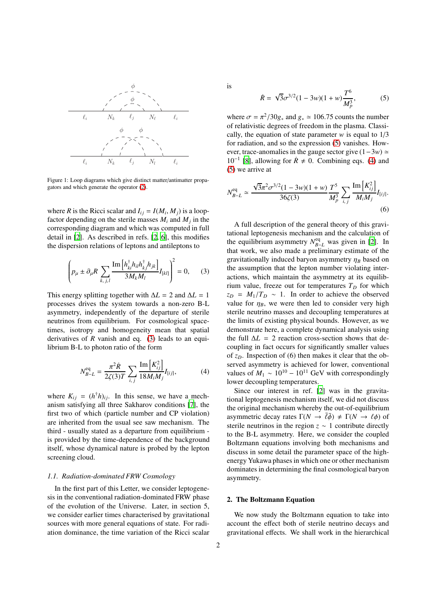<span id="page-1-0"></span>

Figure 1: Loop diagrams which give distinct matter/antimatter propagators and which generate the operator [\(2\)](#page-0-1).

where *R* is the Ricci scalar and  $I_{ij} = I(M_i, M_j)$  is a loopfactor depending on the sterile masses  $M_i$  and  $M_j$  in the corresponding diagram and which was computed in full detail in [\[2\]](#page-9-1). As described in refs. [\[2](#page-9-1), [6\]](#page-9-5), this modifies the dispersion relations of leptons and antileptons to

<span id="page-1-1"></span>
$$
\left(p_{\mu} \pm \partial_{\mu} R \sum_{k,j,l} \frac{\text{Im}\left[h_{ki}^{\dagger} h_{il} h_{kj}^{\dagger} h_{jk}\right]}{3M_k M_l} I_{[kl]}\right)^2 = 0, \quad (3)
$$

This energy splitting together with  $\Delta L = 2$  and  $\Delta L = 1$ processes drives the system towards a non-zero B-L asymmetry, independently of the departure of sterile neutrinos from equilibrium. For cosmological spacetimes, isotropy and homogeneity mean that spatial derivatives of *R* vanish and eq. [\(3\)](#page-1-1) leads to an equilibrium B-L to photon ratio of the form

<span id="page-1-3"></span>
$$
N_{B-L}^{\text{eq}} = \frac{\pi^2 \dot{R}}{2\zeta(3)T} \sum_{i,j} \frac{\text{Im}\left[K_{ij}^2\right]}{18M_iM_j} I_{[ij]},\tag{4}
$$

where  $K_{ij} = (h^{\dagger}h)_{ij}$ . In this sense, we have a mechanism satisfying all three Sakharov conditions [\[7](#page-9-6)], the first two of which (particle number and CP violation) are inherited from the usual see saw mechanism. The third - usually stated as a departure from equilibrium is provided by the time-dependence of the background itself, whose dynamical nature is probed by the lepton screening cloud.

# *1.1. Radiation-dominated FRW Cosmology*

In the first part of this Letter, we consider leptogenesis in the conventional radiation-dominated FRW phase of the evolution of the Universe. Later, in section 5, we consider earlier times characterised by gravitational sources with more general equations of state. For radiation dominance, the time variation of the Ricci scalar is

<span id="page-1-2"></span>
$$
\dot{R} = \sqrt{3}\sigma^{3/2}(1 - 3w)(1 + w)\frac{T^6}{M_p^3},
$$
 (5)

where  $\sigma = \pi^2/30g_*$  and  $g_* \simeq 106.75$  counts the number of relativistic degrees of freedom in the plasma. Classically, the equation of state parameter  $w$  is equal to  $1/3$ for radiation, and so the expression [\(5\)](#page-1-2) vanishes. However, trace-anomalies in the gauge sector give (1−3*w*) ≃  $10^{-1}$  [\[8](#page-9-7)], allowing for  $\dot{R} \neq 0$ . Combining eqs. [\(4\)](#page-1-3) and [\(5\)](#page-1-2) we arrive at

<span id="page-1-4"></span>
$$
N_{B-L}^{\text{eq}} \simeq \frac{\sqrt{3}\pi^2 \sigma^{3/2} (1 - 3w)(1 + w)}{36\zeta(3)} \frac{T^5}{M_p^3} \sum_{i,j} \frac{\text{Im}\left[K_{ij}^2\right]}{M_i M_j} I_{[ij]}.
$$
\n(6)

A full description of the general theory of this gravitational leptogenesis mechanism and the calculation of the equilibrium asymmetry  $N_{B-L}^{\text{eq}}$  was given in [\[2\]](#page-9-1). In that work, we also made a preliminary estimate of the gravitationally induced baryon asymmetry  $\eta_B$  based on the assumption that the lepton number violating interactions, which maintain the asymmetry at its equilibrium value, freeze out for temperatures  $T<sub>D</sub>$  for which  $z_D = M_1/T_D \sim 1$ . In order to achieve the observed value for  $\eta_B$ , we were then led to consider very high sterile neutrino masses and decoupling temperatures at the limits of existing physical bounds. However, as we demonstrate here, a complete dynamical analysis using the full  $\Delta L = 2$  reaction cross-section shows that decoupling in fact occurs for significantly smaller values of *zD*. Inspection of (6) then makes it clear that the observed asymmetry is achieved for lower, conventional values of  $M_1 \sim 10^{10} - 10^{11}$  GeV with correspondingly lower decoupling temperatures.

Since our interest in ref. [\[2](#page-9-1)] was in the gravitational leptogenesis mechanism itself, we did not discuss the original mechanism whereby the out-of-equilibrium asymmetric decay rates  $\Gamma(N \to \bar{\ell} \bar{\phi}) \neq \Gamma(N \to \ell \phi)$  of sterile neutrinos in the region  $z \sim 1$  contribute directly to the B-L asymmetry. Here, we consider the coupled Boltzmann equations involving both mechanisms and discuss in some detail the parameter space of the highenergy Yukawa phases in which one or other mechanism dominates in determining the final cosmological baryon asymmetry.

## 2. The Boltzmann Equation

We now study the Boltzmann equation to take into account the effect both of sterile neutrino decays and gravitational effects. We shall work in the hierarchical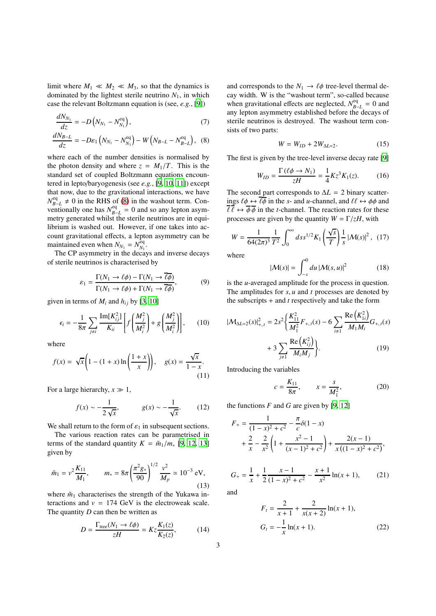limit where  $M_1 \ll M_2 \ll M_3$ , so that the dynamics is dominated by the lightest sterile neutrino  $N_1$ , in which case the relevant Boltzmann equation is (see, *e.g.*, [\[9](#page-9-8)])

$$
\frac{dN_{N_1}}{dz} = -D\left(N_{N_1} - N_{N_1}^{\text{eq}}\right),\tag{7}
$$

$$
\frac{dN_{B-L}}{dz} = -D\varepsilon_1 \left( N_{N_1} - N_{N_1}^{\text{eq}} \right) - W \left( N_{B-L} - N_{B-L}^{\text{eq}} \right), \tag{8}
$$

where each of the number densities is normalised by the photon density and where  $z = M_1/T$ . This is the standard set of coupled Boltzmann equations encountered in lepto/baryogenesis (see *e.g.*, [\[9,](#page-9-8) [10,](#page-9-9) [11\]](#page-9-10)) except that now, due to the gravitational interactions, we have  $N_{R}^{\text{eq}}$  $B - L \neq 0$  in the RHS of [\(8\)](#page-2-0) in the washout term. Conventionally one has  $N_{R-}^{eq}$  $B = L = 0$  and so any lepton asymmetry generated whilst the sterile neutrinos are in equilibrium is washed out. However, if one takes into account gravitational effects, a lepton asymmetry can be maintained even when  $N_{N_1} = N_{N_1}^{\text{eq}}$  $\frac{1}{N_1}$ .

The CP asymmetry in the decays and inverse decays of sterile neutrinos is characterised by

$$
\varepsilon_1 = \frac{\Gamma(N_1 \to \ell\phi) - \Gamma(N_1 \to \overline{\ell\phi})}{\Gamma(N_1 \to \ell\phi) + \Gamma(N_1 \to \overline{\ell\phi})},\tag{9}
$$

given in terms of  $M_i$  and  $h_{ij}$  by [\[3,](#page-9-2) [10\]](#page-9-9)

$$
\epsilon_{i} = -\frac{1}{8\pi} \sum_{j \neq i} \frac{\text{Im}[K_{ij}^{2}]}{K_{ii}} \left[ f\left(\frac{M_{j}^{2}}{M_{i}^{2}}\right) + g\left(\frac{M_{j}^{2}}{M_{i}^{2}}\right) \right],
$$
 (10)

where

$$
f(x) = \sqrt{x} \left( 1 - (1+x) \ln \left( \frac{1+x}{x} \right) \right), \quad g(x) = \frac{\sqrt{x}}{1-x}.
$$
\n(11)

For a large hierarchy,  $x \gg 1$ ,

$$
f(x) \sim -\frac{1}{2\sqrt{x}}, \qquad g(x) \sim -\frac{1}{\sqrt{x}}.\tag{12}
$$

We shall return to the form of  $\varepsilon_1$  in subsequent sections.

The various reaction rates can be parametrised in terms of the standard quantity  $K = \tilde{m}_1/m_*$  [\[9,](#page-9-8) [12,](#page-9-11) [13](#page-9-12)] given by

$$
\tilde{m}_1 = v^2 \frac{K_{11}}{M_1}, \qquad m_* = 8\pi \left(\frac{\pi^2 g_*}{90}\right)^{1/2} \frac{v^2}{M_p} \simeq 10^{-3} \text{ eV},\tag{13}
$$

where  $\tilde{m}_1$  characterises the strength of the Yukawa interactions and  $v = 174$  GeV is the electroweak scale. The quantity *D* can then be written as

$$
D = \frac{\Gamma_{\text{tree}}(N_1 \to \ell \phi)}{zH} = K z \frac{K_1(z)}{K_2(z)},\tag{14}
$$

<span id="page-2-4"></span>and corresponds to the  $N_1 \rightarrow \ell \phi$  tree-level thermal decay width. W is the "washout term", so-called because when gravitational effects are neglected,  $N_{B}^{\text{eq}}$  $B-L = 0$  and any lepton asymmetry established before the decays of sterile neutrinos is destroyed. The washout term consists of two parts:

<span id="page-2-3"></span>
$$
W = W_{ID} + 2W_{\Delta L=2}.
$$
 (15)

<span id="page-2-0"></span>The first is given by the tree-level inverse decay rate [\[9\]](#page-9-8)

$$
W_{ID} = \frac{\Gamma\left(\ell\phi \to N_1\right)}{zH} = \frac{1}{4}Kz^3K_1(z). \tag{16}
$$

The second part corresponds to  $\Delta L = 2$  binary scatterings  $\ell \phi \leftrightarrow \overline{\ell \phi}$  in the *s*- and *u*-channel, and  $\ell \ell \leftrightarrow \phi \phi$  and  $\overline{\ell}\overline{\ell} \leftrightarrow \overline{\phi}\overline{\phi}$  in the *t*-channel. The reaction rates for these processes are given by the quantity  $W = \Gamma / zH$ , with

<span id="page-2-2"></span>
$$
W = \frac{1}{64(2\pi)^3} \frac{1}{T^2} \int_0^\infty ds s^{1/2} K_1 \left(\frac{\sqrt{s}}{T}\right) \frac{1}{s} \left|\mathcal{M}(s)\right|^2, \tag{17}
$$

where

$$
|\mathcal{M}(s)| = \int_{-s}^{0} du |\mathcal{M}(s, u)|^2 \qquad (18)
$$

is the *u*-averaged amplitude for the process in question. The amplitudes for *s*, *u* and *t* processes are denoted by the subscripts + and *t* respectively and take the form

$$
|\mathcal{M}_{\Delta L=2}(s)|_{+,t}^{2} = 2s^{2} \bigg\{ \frac{K_{11}^{2}}{M_{1}^{2}} F_{+,t}(s) - 6 \sum_{i \neq 1} \frac{\text{Re}(K_{1i}^{2})}{M_{1}M_{i}} G_{+,t}(s) + 3 \sum_{j \neq 1} \frac{\text{Re}(K_{ij}^{2})}{M_{i}M_{j}} \bigg\}.
$$
 (19)

Introducing the variables

<span id="page-2-1"></span>
$$
c = \frac{K_{11}}{8\pi}, \qquad x = \frac{s}{M_1^2}, \tag{20}
$$

the functions  $F$  and  $G$  are given by [\[9,](#page-9-8) [12](#page-9-11)]

$$
F_{+} = \frac{1}{(1-x)^2 + c^2} - \frac{\pi}{c} \delta(1-x)
$$
  
+  $\frac{2}{x} - \frac{2}{x^2} \left(1 + \frac{x^2 - 1}{(x-1)^2 + c^2}\right) + \frac{2(x-1)}{x((1-x)^2 + c^2)},$ 

$$
G_{+} = \frac{1}{x} + \frac{1}{2} \frac{x-1}{(1-x)^2 + c^2} - \frac{x+1}{x^2} \ln(x+1),
$$
 (21)

and

$$
F_t = \frac{2}{x+1} + \frac{2}{x(x+2)} \ln(x+1),
$$
  
\n
$$
G_t = -\frac{1}{x} \ln(x+1).
$$
 (22)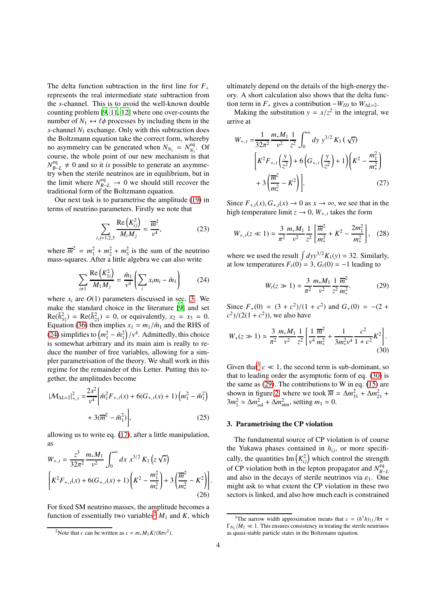The delta function subtraction in the first line for  $F_+$ represents the real intermediate state subtraction from the *s*-channel. This is to avoid the well-known double counting problem [\[9,](#page-9-8) [11,](#page-9-10) [12](#page-9-11)] where one over-counts the number of  $N_1 \leftrightarrow \ell \phi$  processes by including them in the *s*-channel *N*<sup>1</sup> exchange. Only with this subtraction does the Boltzmann equation take the correct form, whereby no asymmetry can be generated when  $N_{N_1} = N_{N_1}^{\text{eq}}$  $N_1$ . Of course, the whole point of our new mechanism is that  $N_{R}^{\text{eq}}$  $B = L$  ≠ 0 and so it *is* possible to generate an asymmetry when the sterile neutrinos are in equilibrium, but in the limit where  $N_{B-L}^{\text{eq}} \rightarrow 0$  we should still recover the traditional form of the Boltzmann equation.

Our next task is to parametrise the amplitude [\(19\)](#page-2-1) in terms of neutrino parameters. Firstly we note that

$$
\sum_{i,j=1,2,3} \frac{\text{Re}\left(K_{ij}^2\right)}{M_i M_j} = \frac{\overline{m}^2}{v^4},\tag{23}
$$

where  $\overline{m}^2 = m_1^2 + m_2^2 + m_3^2$  is the sum of the neutrino mass-squares. After a little algebra we can also write

<span id="page-3-1"></span>
$$
\sum_{i\neq 1} \frac{\text{Re}\left(K_{1i}^2\right)}{M_1 M_j} = \frac{\tilde{m}_1}{v^4} \left(\sum_i x_i m_i - \tilde{m}_1\right) \tag{24}
$$

where  $x_i$  are  $O(1)$  parameters discussed in sec. [3.](#page-3-0) We make the standard choice in the literature [\[9](#page-9-8)] and set  $\text{Re}(\tilde{h}_{31}^2) = \text{Re}(\tilde{h}_{21}^2) = 0$ , or equivalently,  $x_2 = x_3 = 0$ . Equation [\(36\)](#page-4-0) then implies  $x_1 = m_1/\tilde{m}_1$  and the RHS of [\(24\)](#page-3-1) simplifies to  $\left(m_1^2 - \tilde{m}_1^2\right)/v^4$ . Admittedly, this choice is somewhat arbitrary and its main aim is really to reduce the number of free variables, allowing for a simpler parametrisation of the theory. We shall work in this regime for the remainder of this Letter. Putting this together, the amplitudes become

$$
|\mathcal{M}_{\Delta L=2}|_{+,t}^{2} = \frac{2s^{2}}{v^{4}} \left[ \tilde{m}_{1}^{2} F_{+,t}(s) + 6(G_{+,t}(s) + 1) \left( m_{1}^{2} - \tilde{m}_{1}^{2} \right) + 3(\overline{m}^{2} - \tilde{m}_{1}^{2}) \right],
$$
\n(25)

allowing us to write eq. [\(17\)](#page-2-2), after a little manipulation, as

$$
W_{+,t} = \frac{z^3}{32\pi^2} \frac{m_* M_1}{v^2} \int_0^\infty dx \ x^{3/2} K_1(z\sqrt{x})
$$
  

$$
\left[ K^2 F_{+,t}(x) + 6(G_{+,t}(x) + 1) \left( K^2 - \frac{m_1^2}{m_*^2} \right) + 3 \left( \frac{\overline{m}^2}{m_*^2} - K^2 \right) \right].
$$
  
(26)

For fixed SM neutrino masses, the amplitude becomes a function of essentially two variables<sup>[2](#page-3-2)</sup>  $M_1$  and  $K$ , which ultimately depend on the details of the high-energy theory. A short calculation also shows that the delta function term in  $F_+$  gives a contribution  $-W_{ID}$  to  $W_{\Delta L=2}$ .

Making the substitution  $y = x/z^2$  in the integral, we arrive at

$$
W_{+,t} = \frac{1}{32\pi^2} \frac{m_* M_1}{v^2} \frac{1}{z^2} \int_0^{\infty} dy \ y^{3/2} K_1(\sqrt{y})
$$

$$
\left[ K^2 F_{+,t} \left( \frac{y}{z^2} \right) + 6 \left( G_{+,t} \left( \frac{y}{z^2} \right) + 1 \right) \left( K^2 - \frac{m_1^2}{m_*^2} \right) + 3 \left( \frac{\overline{m}^2}{m_*^2} - K^2 \right) \right].
$$
(27)

Since  $F_{+,t}(x)$ ,  $G_{+,t}(x) \rightarrow 0$  as  $x \rightarrow \infty$ , we see that in the high temperature limit  $z \to 0$ ,  $W_{+,t}$  takes the form

$$
W_{+,t}(z \ll 1) \simeq \frac{3}{\pi^2} \frac{m_* M_1}{v^2} \frac{1}{z^2} \left[ \frac{\overline{m}^2}{m_*^2} + K^2 - \frac{2m_1^2}{m_*^2} \right], \quad (28)
$$

where we used the result  $\int dy y^{3/2} K_1(y) = 32$ . Similarly, at low temperatures  $F_t(0) = 3$ ,  $G_t(0) = -1$  leading to

<span id="page-3-6"></span><span id="page-3-5"></span><span id="page-3-4"></span>
$$
W_t(z \gg 1) \simeq \frac{3}{\pi^2} \frac{m_* M_1}{v^2} \frac{1}{z^2} \frac{\overline{m}^2}{m_*^2}.
$$
 (29)

Since  $F_+(0) = (3 + c^2)/(1 + c^2)$  and  $G_+(0) = -(2 + c^2)/(1 + c^2)$  $(c^2)/(2(1+c^2))$ , we also have

$$
W_{+}(z \gg 1) \simeq \frac{3}{\pi^{2}} \frac{m_{*} M_{1}}{v^{2}} \frac{1}{z^{2}} \left[ \frac{1}{v^{4}} \frac{\overline{m}^{2}}{m_{*}^{2}} + \frac{1}{3 m_{*}^{2} v^{4}} \frac{c^{2}}{1 + c^{2}} K^{2} \right].
$$
\n(30)

Given that<sup>[3](#page-3-3)</sup>  $c \ll 1$ , the second term is sub-dominant, so that to leading order the asymptotic form of eq. [\(30\)](#page-3-4) is the same as  $(29)$ . The contributions to W in eq.  $(15)$  are shown in figure [2,](#page-4-1) where we took  $\overline{m} = \Delta m_{31}^2 + \Delta m_{21}^2 +$  $3m_1^2 \simeq \Delta m_{\text{sol}}^2 + \Delta m_{\text{atm}}^2$ , setting  $m_1 \simeq 0$ .

# <span id="page-3-0"></span>3. Parametrising the CP violation

The fundamental source of CP violation is of course the Yukawa phases contained in  $h_{ij}$ , or more specifically, the quantities  $\text{Im}\left(K_{ij}^2\right)$  which control the strength of CP violation both in the lepton propagator and  $N_{R-}^{eq}$ and also in the decays of sterile neutrinos via  $\varepsilon_1$ . One might ask to what extent the CP violation in these two sectors is linked, and also how much each is constrained

<span id="page-3-2"></span><sup>2</sup>Note that *c* can be written as  $c = m_* M_1 K / (8\pi v^2)$ .

<span id="page-3-3"></span><sup>&</sup>lt;sup>3</sup>The narrow width approximation means that  $c = (h^{\dagger}h)_{11}/8\pi =$  $\Gamma_{N_1}/M_1 \ll 1$ . This ensures consistency in treating the sterile neutrinos as quasi-stable particle states in the Boltzmann equation.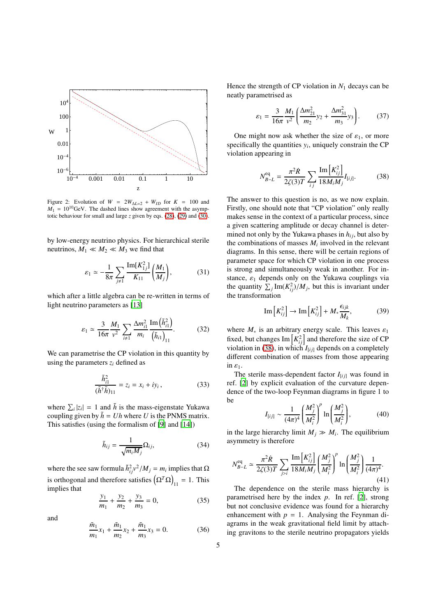<span id="page-4-1"></span>

Figure 2: Evolution of  $W = 2W_{\Delta L=2} + W_{ID}$  for  $K = 100$  and  $M_1 = 10^{10}$ GeV. The dashed lines show agreement with the asymptotic behaviour for small and large *z* given by eqs. [\(28\)](#page-3-6), [\(29\)](#page-3-5) and [\(30\)](#page-3-4).

by low-energy neutrino physics. For hierarchical sterile neutrinos,  $M_1 \ll M_2 \ll M_3$  we find that

<span id="page-4-7"></span>
$$
\varepsilon_1 \simeq -\frac{1}{8\pi} \sum_{j \neq 1} \frac{\text{Im}[K_{1j}^2]}{K_{11}} \bigg( \frac{M_1}{M_j} \bigg), \tag{31}
$$

which after a little algebra can be re-written in terms of light neutrino parameters as [\[13](#page-9-12)]

$$
\varepsilon_1 \simeq \frac{3}{16\pi} \frac{M_1}{v^2} \sum_{i \neq 1} \frac{\Delta m_{i1}^2}{m_i} \frac{\text{Im}\left(\tilde{h}_{i1}^2\right)}{\left(\tilde{h}_{i1}\right)_{11}}.
$$
 (32)

We can parametrise the CP violation in this quantity by using the parameters  $z_i$  defined as

<span id="page-4-4"></span>
$$
\frac{\tilde{h}_{i1}^2}{(\tilde{h}^{\dagger}\tilde{h})_{11}} = z_i = x_i + iy_i, \qquad (33)
$$

where  $\sum_i |z_i| = 1$  and  $\tilde{h}$  is the mass-eigenstate Yukawa coupling given by  $\tilde{h} = Uh$  where *U* is the PNMS matrix. This satisfies (using the formalism of [\[9](#page-9-8)] and [\[14](#page-9-13)])

$$
\tilde{h}_{ij} = \frac{1}{\sqrt{m_i M_j}} \Omega_{ij},\tag{34}
$$

where the see saw formula  $\tilde{h}_{ij}^2 v^2 / M_j = m_i$  implies that Ω is orthogonal and therefore satisfies  $(\Omega^T \Omega)_{11} = 1$ . This implies that

$$
\frac{y_1}{m_1} + \frac{y_2}{m_2} + \frac{y_3}{m_3} = 0,\tag{35}
$$

and

<span id="page-4-0"></span>
$$
\frac{\tilde{m}_1}{m_1}x_1 + \frac{\tilde{m}_1}{m_2}x_2 + \frac{\tilde{m}_1}{m_3}x_3 = 0.
$$
 (36)

Hence the strength of CP violation in  $N_1$  decays can be neatly parametrised as

<span id="page-4-6"></span>
$$
\varepsilon_1 = \frac{3}{16\pi} \frac{M_1}{v^2} \left( \frac{\Delta m_{21}^2}{m_2} y_2 + \frac{\Delta m_{31}^2}{m_3} y_3 \right). \tag{37}
$$

One might now ask whether the size of  $\varepsilon_1$ , or more specifically the quantities  $y_i$ , uniquely constrain the CP violation appearing in

<span id="page-4-2"></span>
$$
N_{B-L}^{\text{eq}} = \frac{\pi^2 \dot{R}}{2\zeta(3)T} \sum_{i,j} \frac{\text{Im}\left[K_{i,j}^2\right]}{18M_iM_j} I_{[ij]}.
$$
 (38)

The answer to this question is no, as we now explain. Firstly, one should note that "CP violation" only really makes sense in the context of a particular process, since a given scattering amplitude or decay channel is determined not only by the Yukawa phases in  $h_{ij}$ , but also by the combinations of masses  $M_i$  involved in the relevant diagrams. In this sense, there will be certain regions of parameter space for which CP violation in one process is strong and simultaneously weak in another. For instance,  $\varepsilon_1$  depends only on the Yukawa couplings via the quantity  $\sum_j \text{Im}(K_{ij}^2)/M_j$ , but this is invariant under the transformation

<span id="page-4-5"></span>
$$
\operatorname{Im}\left[K_{ij}^{2}\right] \to \operatorname{Im}\left[K_{ij}^{2}\right] + M_{*} \frac{\epsilon_{ijk}}{M_{k}},\tag{39}
$$

where  $M_*$  is an arbitrary energy scale. This leaves  $\varepsilon_1$ fixed, but changes  $\text{Im}\left[K_{ij}^2\right]$  and therefore the size of CP violation in [\(38\)](#page-4-2), in which  $I_{[ij]}$  depends on a completely different combination of masses from those appearing in  $\varepsilon_1$ .

The sterile mass-dependent factor  $I_{[i j]}$  was found in ref. [\[2](#page-9-1)] by explicit evaluation of the curvature dependence of the two-loop Feynman diagrams in figure 1 to be

<span id="page-4-8"></span>
$$
I_{[ij]} \sim \frac{1}{(4\pi)^4} \left(\frac{M_j^2}{M_i^2}\right)^p \ln\left(\frac{M_j^2}{M_i^2}\right),\tag{40}
$$

in the large hierarchy limit  $M_j \gg M_i$ . The equilibrium asymmetry is therefore

<span id="page-4-3"></span>
$$
N_{B-L}^{\text{eq}} \simeq \frac{\pi^2 \dot{R}}{2\zeta(3)T} \sum_{j>i} \frac{\text{Im}\left[K_{ij}^2\right]}{18M_iM_j} \left(\frac{M_j^2}{M_i^2}\right)^p \ln\left(\frac{M_j^2}{M_i^2}\right) \frac{1}{(4\pi)^4}.
$$
\n(41)

The dependence on the sterile mass hierarchy is parametrised here by the index *p*. In ref. [\[2\]](#page-9-1), strong but not conclusive evidence was found for a hierarchy enhancement with  $p = 1$ . Analysing the Feynman diagrams in the weak gravitational field limit by attaching gravitons to the sterile neutrino propagators yields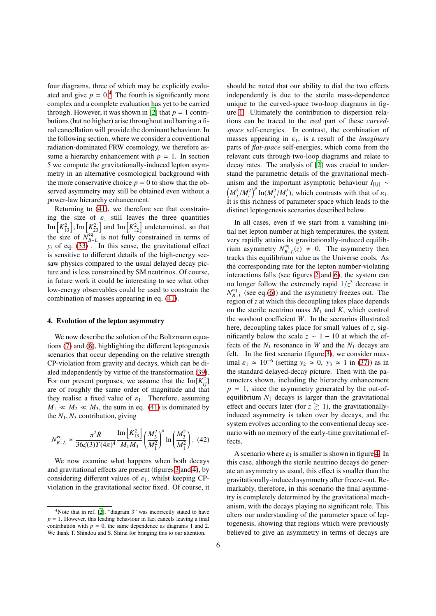four diagrams, three of which may be explicitly evaluated and give  $p = 0<sup>4</sup>$  $p = 0<sup>4</sup>$  $p = 0<sup>4</sup>$ . The fourth is significantly more complex and a complete evaluation has yet to be carried through. However, it was shown in [\[2](#page-9-1)] that  $p = 1$  contributions (but no higher) arise throughout and barring a final cancellation will provide the dominant behaviour. In the following section, where we consider a conventional radiation-dominated FRW cosmology, we therefore assume a hierarchy enhancement with  $p = 1$ . In section 5 we compute the gravitationally-induced lepton asymmetry in an alternative cosmological background with the more conservative choice  $p = 0$  to show that the observed asymmetry may still be obtained even without a power-law hierarchy enhancement.

Returning to [\(41\)](#page-4-3), we therefore see that constraining the size of  $\varepsilon_1$  still leaves the three quantities  $\text{Im}\left[K_{13}^2\right]$ ,  $\text{Im}\left[K_{23}^2\right]$  and  $\text{Im}\left[K_{12}^2\right]$  undetermined, so that the size of  $N_{B}^{eq}$  $B = L$  is not fully constrained in terms of  $y_i$  of eq. [\(33\)](#page-4-4). In this sense, the gravitational effect is sensitive to different details of the high-energy seesaw physics compared to the usual delayed decay picture and is less constrained by SM neutrinos. Of course, in future work it could be interesting to see what other low-energy observables could be used to constrain the combination of masses appearing in eq. [\(41\)](#page-4-3).

#### 4. Evolution of the lepton asymmetry

We now describe the solution of the Boltzmann equations [\(7\)](#page-2-4) and [\(8\)](#page-2-0), highlighting the different leptogenesis scenarios that occur depending on the relative strength CP-violation from gravity and decays, which can be dialed independently by virtue of the transformation [\(39\)](#page-4-5). For our present purposes, we assume that the  $\text{Im}[K_{ij}^2]$ are of roughly the same order of magnitude and that they realise a fixed value of  $\varepsilon_1$ . Therefore, assuming  $M_1 \ll M_2 \ll M_3$ , the sum in eq. [\(41\)](#page-4-3) is dominated by the  $N_1$ ,  $N_3$  contribution, giving

$$
N_{B-L}^{\text{eq}} \simeq \frac{\pi^2 \dot{R}}{36 \zeta (3) T (4\pi)^4} \frac{\text{Im} \left[ K_{13}^2 \right]}{M_1 M_3} \left( \frac{M_3^2}{M_1^2} \right)^p \ln \left( \frac{M_3^2}{M_1^2} \right). \tag{42}
$$

We now examine what happens when both decays and gravitational effects are present (figures [3](#page-6-0) and [4\)](#page-6-1), by considering different values of  $\varepsilon_1$ , whilst keeping CPviolation in the gravitational sector fixed. Of course, it should be noted that our ability to dial the two effects independently is due to the sterile mass-dependence unique to the curved-space two-loop diagrams in figure [1.](#page-1-0) Ultimately the contribution to dispersion relations can be traced to the *real* part of these *curvedspace* self-energies. In contrast, the combination of masses appearing in  $\varepsilon_1$ , is a result of the *imaginary* parts of *flat-space* self-energies, which come from the relevant cuts through two-loop diagrams and relate to decay rates. The analysis of [\[2\]](#page-9-1) was crucial to understand the parametric details of the gravitational mechanism and the important asymptotic behaviour  $I_{[ij]}$  ~  $(M_j^2/M_i^2)^p \ln(M_j^2/M_i^2)$ , which contrasts with that of  $\varepsilon_1$ . It is this richness of parameter space which leads to the distinct leptogenesis scenarios described below.

In all cases, even if we start from a vanishing initial net lepton number at high temperatures, the system very rapidly attains its gravitationally-induced equilibrium asymmetry  $N_{R-}^{eq}$  $B = L(z) \neq 0$ . The asymmetry then tracks this equilibrium value as the Universe cools. As the corresponding rate for the lepton number-violating interactions falls (see figures [2](#page-4-1) and [6\)](#page-7-0), the system can no longer follow the extremely rapid  $1/z^5$  decrease in  $N_{R}^{\text{eq}}$  $B = L$  (see eq.[\(6\)](#page-1-4)) and the asymmetry freezes out. The region of *z* at which this decoupling takes place depends on the sterile neutrino mass  $M_1$  and  $K$ , which control the washout coefficient *W*. In the scenarios illustrated here, decoupling takes place for small values of *z*, significantly below the scale  $z \sim 1 - 10$  at which the effects of the  $N_1$  resonance in  $W$  and the  $N_1$  decays are felt. In the first scenario (figure [3\)](#page-6-0), we consider maximal  $\varepsilon_1 \approx 10^{-6}$  (setting  $y_2 \approx 0$ ,  $y_3 \approx 1$  in [\(37\)](#page-4-6)) as in the standard delayed-decay picture. Then with the parameters shown, including the hierarchy enhancement  $p = 1$ , since the asymmetry generated by the out-ofequilibrium  $N_1$  decays is larger than the gravitational effect and occurs later (for  $z \gtrsim 1$ ), the gravitationallyinduced asymmetry is taken over by decays, and the system evolves according to the conventional decay scenario with no memory of the early-time gravitational effects.

A scenario where  $\varepsilon_1$  is smaller is shown in figure [4.](#page-6-1) In this case, although the sterile neutrino decays do generate an asymmetry as usual, this effect is smaller than the gravitationally-induced asymmetry after freeze-out. Remarkably, therefore, in this scenario the final asymmetry is completely determined by the gravitational mechanism, with the decays playing no significant role. This alters our understanding of the parameter space of leptogenesis, showing that regions which were previously believed to give an asymmetry in terms of decays are

<span id="page-5-0"></span><sup>&</sup>lt;sup>4</sup>Note that in ref. [\[2\]](#page-9-1), "diagram 3" was incorrectly stated to have  $p = 1$ . However, this leading behaviour in fact cancels leaving a final contribution with  $p = 0$ , the same dependence as diagrams 1 and 2. We thank T. Shindou and S. Shirai for bringing this to our attention.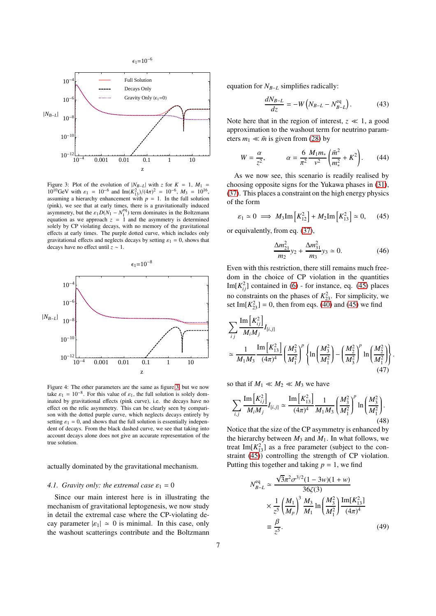<span id="page-6-0"></span>

Figure 3: Plot of the evolution of  $|N_{B-L}|$  with *z* for  $K = 1$ ,  $M_1 =$  $10^{10}$ GeV with  $\varepsilon_1 = 10^{-6}$  and Im( $K_{13}^2$ )/( $4\pi$ )<sup>2</sup> = 10<sup>-6</sup>,  $M_3 = 10^{16}$ , assuming a hierarchy enhancement with  $p = 1$ . In the full solution (pink), we see that at early times, there is a gravitationally induced asymmetry, but the  $\varepsilon_1 D(N_1 - N_1^{\text{eq}})$  term dominates in the Boltzmann equation as we approach  $z = 1$  and the asymmetry is determined solely by CP violating decays, with no memory of the gravitational effects at early times. The purple dotted curve, which includes only gravitational effects and neglects decays by setting  $\varepsilon_1 = 0$ , shows that decays have no effect until *z* ∼ 1.

<span id="page-6-1"></span>

Figure 4: The other parameters are the same as figure [3,](#page-6-0) but we now take  $\varepsilon_1 = 10^{-8}$ . For this value of  $\varepsilon_1$ , the full solution is solely dominated by gravitational effects (pink curve), i.e. the decays have no effect on the relic asymmetry. This can be clearly seen by comparison with the dotted purple curve, which neglects decays entirely by setting  $\varepsilon_1 = 0$ , and shows that the full solution is essentially independent of decays. From the black dashed curve, we see that taking into account decays alone does not give an accurate representation of the true solution.

actually dominated by the gravitational mechanism.

## *4.1. Gravity only: the extremal case*  $\varepsilon_1 = 0$

Since our main interest here is in illustrating the mechanism of gravitational leptogenesis, we now study in detail the extremal case where the CP-violating decay parameter  $|\varepsilon_1| \simeq 0$  is minimal. In this case, only the washout scatterings contribute and the Boltzmann equation for *NB*−*<sup>L</sup>* simplifies radically:

<span id="page-6-3"></span>
$$
\frac{dN_{B-L}}{dz} = -W\left(N_{B-L} - N_{B-L}^{\text{eq}}\right). \tag{43}
$$

Note here that in the region of interest,  $z \ll 1$ , a good approximation to the washout term for neutrino parameters  $m_1 \ll \bar{m}$  is given from [\(28\)](#page-3-6) by

<span id="page-6-4"></span>
$$
W = \frac{\alpha}{z^2}, \qquad \alpha = \frac{6}{\pi^2} \frac{M_1 m_*}{v^2} \left( \frac{\bar{m}^2}{m_*^2} + K^2 \right). \tag{44}
$$

As we now see, this scenario is readily realised by choosing opposite signs for the Yukawa phases in [\(31\)](#page-4-7), [\(37\)](#page-4-6). This places a constraint on the high energy physics of the form

<span id="page-6-2"></span>
$$
\varepsilon_1 \simeq 0 \implies M_3 \text{Im}\left[K_{12}^2\right] + M_2 \text{Im}\left[K_{13}^2\right] \simeq 0, \quad (45)
$$

or equivalently, from eq. [\(37\)](#page-4-6),

$$
\frac{\Delta m_{21}^2}{m_2} y_2 + \frac{\Delta m_{31}^2}{m_3} y_3 \simeq 0. \tag{46}
$$

Even with this restriction, there still remains much freedom in the choice of CP violation in the quantities Im $[K_{ij}^2]$  contained in [\(6\)](#page-1-4) - for instance, eq. [\(45\)](#page-6-2) places no constraints on the phases of  $K_{23}^2$ . For simplicity, we set Im $[K_{23}^2] = 0$ , then from eqs. [\(40\)](#page-4-8) and [\(45\)](#page-6-2) we find

$$
\sum_{i j} \frac{\text{Im} \left[K_{i j}^{2}\right]}{M_{i} M_{j}} I_{[i, j]}
$$
\n
$$
\approx \frac{1}{M_{1} M_{3}} \frac{\text{Im} \left[K_{13}^{2}\right]}{(4\pi)^{4}} \left(\frac{M_{3}^{2}}{M_{1}^{2}}\right)^{p} \left\{\ln \left(\frac{M_{3}^{2}}{M_{1}^{2}}\right) - \left(\frac{M_{2}^{2}}{M_{3}^{2}}\right)^{p} \ln \left(\frac{M_{2}^{2}}{M_{1}^{2}}\right)\right\}.
$$
\n(47)

so that if  $M_1 \ll M_2 \ll M_3$  we have

$$
\sum_{i,j} \frac{\text{Im}\left[K_{ij}^2\right]}{M_i M_j} I_{[i,j]} \simeq \frac{\text{Im}\left[K_{13}^2\right]}{(4\pi)^4} \frac{1}{M_1 M_3} \left(\frac{M_3^2}{M_1^2}\right)^p \ln\left(\frac{M_3^2}{M_1^2}\right). \tag{48}
$$

Notice that the size of the CP asymmetry is enhanced by the hierarchy between  $M_3$  and  $M_1$ . In what follows, we treat Im $[K_{13}^2]$  as a free parameter (subject to the con-straint [\(45\)](#page-6-2)) controlling the strength of CP violation. Putting this together and taking  $p = 1$ , we find

<span id="page-6-5"></span>
$$
V_{B-L}^{\text{eq}} \simeq \frac{\sqrt{3}\pi^2 \sigma^{3/2} (1 - 3w)(1 + w)}{36\zeta(3)}
$$
  
 
$$
\times \frac{1}{z^5} \left(\frac{M_1}{M_p}\right)^3 \frac{M_3}{M_1} \ln\left(\frac{M_3^2}{M_1^2}\right) \frac{\text{Im}[K_{13}^2]}{(4\pi)^4}
$$
  
\n
$$
\equiv \frac{\beta}{z^5}.
$$
 (49)

*N*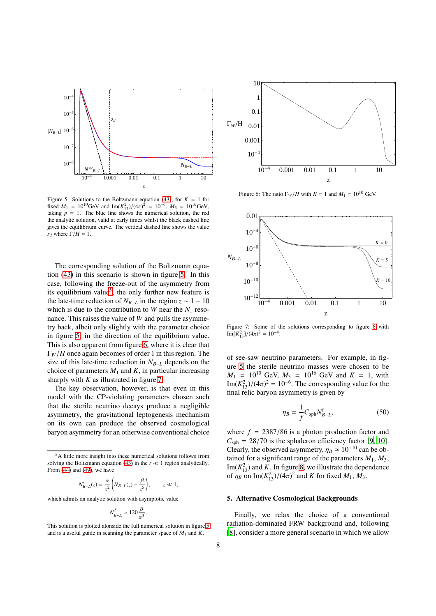<span id="page-7-1"></span>

Figure 5: Solutions to the Boltzmann equation [\(43\)](#page-6-3), for  $K = 1$  for fixed  $M_1 = 10^{10} \text{GeV}$  and  $\text{Im}(K_{13}^2)/(4\pi)^2 = 10^{-6}$ ,  $M_3 = 10^{16} \text{GeV}$ , taking  $p = 1$ . The blue line shows the numerical solution, the red the analytic solution, valid at early times whilst the black dashed line gives the equilibrium curve. The vertical dashed line shows the value *z<sub>d</sub>* where  $Γ/H \approx 1$ .

The corresponding solution of the Boltzmann equation [\(43\)](#page-6-3) in this scenario is shown in figure [5.](#page-7-1) In this case, following the freeze-out of the asymmetry from its equilibrium value<sup>[5](#page-7-2)</sup>, the only further new feature is the late-time reduction of  $N_{B-L}$  in the region  $z \sim 1 - 10$ which is due to the contribution to *W* near the  $N_1$  resonance. This raises the value of *W* and pulls the asymmetry back, albeit only slightly with the parameter choice in figure [5,](#page-7-1) in the direction of the equilibrium value. This is also apparent from figure [6,](#page-7-0) where it is clear that Γ*<sup>W</sup>* /*H* once again becomes of order 1 in this region. The size of this late-time reduction in *NB*−*<sup>L</sup>* depends on the choice of parameters  $M_1$  and  $K$ , in particular increasing sharply with *K* as illustrated in figure [7.](#page-7-3)

The key observation, however, is that even in this model with the CP-violating parameters chosen such that the sterile neutrino decays produce a negligible asymmetry, the gravitational leptogenesis mechanism on its own can produce the observed cosmological baryon asymmetry for an otherwise conventional choice

$$
N'_{B-L}(z) = \frac{\alpha}{z^2} \left( N_{B-L}(z) - \frac{\beta}{z^5} \right), \qquad z \ll 1,
$$

which admits an analytic solution with asymptotic value

$$
N_{B-L}^f \simeq 120 \frac{\beta}{\alpha^5}
$$

.

This solution is plotted alonside the full numerical solution in figure [5](#page-7-1) and is a useful guide in scanning the parameter space of *M*<sup>1</sup> and *K*.

<span id="page-7-0"></span>

<span id="page-7-3"></span>Figure 6: The ratio  $\Gamma_W/H$  with  $K = 1$  and  $M_1 = 10^{10}$  GeV.



Figure 7: Some of the solutions corresponding to figure [8](#page-8-0) with  $\text{Im}[K_{13}^2]/(4\pi)^2 = 10^{-4}.$ 

of see-saw neutrino parameters. For example, in figure [5](#page-7-1) the sterile neutrino masses were chosen to be  $M_1$  = 10<sup>10</sup> GeV,  $M_3$  = 10<sup>16</sup> GeV and  $K$  = 1, with Im( $K_{13}^2$ )/( $4\pi$ )<sup>2</sup> = 10<sup>-6</sup>. The corresponding value for the final relic baryon asymmetry is given by

$$
\eta_B = \frac{1}{f} C_{\text{sph}} N_{B-L}^{\text{f}},\tag{50}
$$

where  $f = 2387/86$  is a photon production factor and  $C_{\text{sph}} = 28/70$  is the sphaleron efficiency factor [\[9,](#page-9-8) [10](#page-9-9)]. Clearly, the observed asymmetry,  $\eta_B \simeq 10^{-10}$  can be obtained for a significant range of the parameters  $M_1$ ,  $M_3$ , Im( $K_{13}^2$ ) and *K*. In figure [8,](#page-8-0) we illustrate the dependence of  $\eta_B$  on  $\text{Im}(K_{13}^2)/(4\pi)^2$  and *K* for fixed *M*<sub>1</sub>, *M*<sub>3</sub>.

### 5. Alternative Cosmological Backgrounds

Finally, we relax the choice of a conventional radiation-dominated FRW background and, following [\[8\]](#page-9-7), consider a more general scenario in which we allow

<span id="page-7-2"></span><sup>5</sup>A little more insight into these numerical solutions follows from solving the Boltzmann equation [\(43\)](#page-6-3) in the  $z \ll 1$  region analytically. From [\(44\)](#page-6-4) and [\(49\)](#page-6-5), we have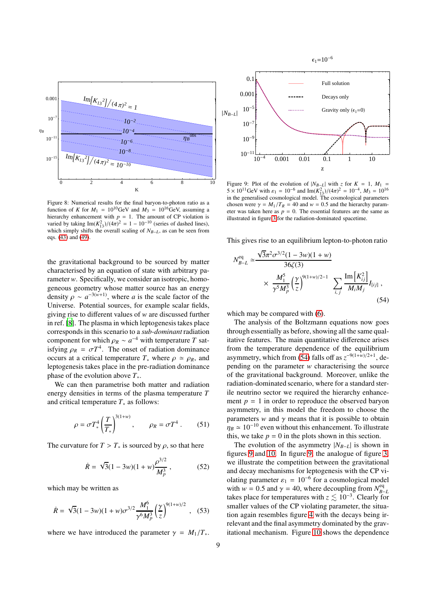<span id="page-8-0"></span>

Figure 8: Numerical results for the final baryon-to-photon ratio as a function of *K* for  $M_1 = 10^{10}$ GeV and  $M_3 = 10^{16}$ GeV, assuming a hierarchy enhancement with  $p = 1$ . The amount of CP violation is varied by taking  $\text{Im}(K_{13}^2)/(4\pi)^2 = 1 - 10^{-10}$  (series of dashed lines), which simply shifts the overall scaling of  $N_{B-L}$ , as can be seen from eqs. [\(43\)](#page-6-3) and [\(49\)](#page-6-5).

the gravitational background to be sourced by matter characterised by an equation of state with arbitrary parameter *w*. Specifically, we consider an isotropic, homogeneous geometry whose matter source has an energy density  $\rho \sim a^{-3(w+1)}$ , where *a* is the scale factor of the Universe. Potential sources, for example scalar fields, giving rise to different values of *w* are discussed further in ref. [\[8](#page-9-7)]. The plasma in which leptogenesis takes place corresponds in this scenario to a *sub-dominant* radiation component for which  $\rho_R \sim a^{-4}$  with temperature *T* satisfying  $\rho_R = \sigma T^4$ . The onset of radiation dominance occurs at a critical temperature  $T_*$  where  $\rho \simeq \rho_R$ , and leptogenesis takes place in the pre-radiation dominance phase of the evolution above *T*∗.

We can then parametrise both matter and radiation energy densities in terms of the plasma temperature *T* and critical temperature *T*<sup>∗</sup> as follows:

$$
\rho = \sigma T_*^4 \left(\frac{T}{T_*}\right)^{3(1+w)}, \qquad \rho_R = \sigma T^4 \ . \tag{51}
$$

The curvature for  $T > T_*$  is sourced by  $\rho$ , so that here

$$
\dot{R} = \sqrt{3}(1 - 3w)(1 + w)\frac{\rho^{3/2}}{M_p^3},
$$
\n(52)

which may be written as

$$
\dot{R} = \sqrt{3}(1 - 3w)(1 + w)\sigma^{3/2} \frac{M_1^6}{\gamma^6 M_p^3} \left(\frac{\gamma}{z}\right)^{9(1+w)/2}, \quad (53)
$$

where we have introduced the parameter  $\gamma = M_1/T_*$ .

<span id="page-8-2"></span>

 $\epsilon_1=10^{-6}$ 

Figure 9: Plot of the evolution of  $|N_{B-L}|$  with *z* for  $K = 1$ ,  $M_1 =$  $5 \times 10^{11}$  GeV with  $\varepsilon_1 = 10^{-6}$  and Im( $K_{13}^2$ )/( $4\pi$ )<sup>2</sup> = 10<sup>-4</sup>,  $M_3 = 10^{16}$ in the generalised cosmological model. The cosmological parameters chosen were  $\gamma = M_1/T_R = 40$  and  $w = 0.5$  and the hierarchy parameter was taken here as  $p = 0$ . The essential features are the same as illustrated in figure [3](#page-6-0) for the radiation-dominated spacetime.

This gives rise to an equilibrium lepton-to-photon ratio

$$
N_{B-L}^{\text{eq}} \simeq \frac{\sqrt{3}\pi^2 \sigma^{3/2} (1 - 3w)(1 + w)}{36\zeta(3)} \times \frac{M_1^5}{\gamma^5 M_p^3} \left(\frac{\gamma}{z}\right)^{9(1+w)/2 - 1} \sum_{i,j} \frac{\text{Im}[K_{ij}^2]}{M_i M_j} I_{[ij]} \,,
$$
\n(54)

<span id="page-8-1"></span>which may be compared with [\(6\)](#page-1-4).

The analysis of the Boltzmann equations now goes through essentially as before, showing all the same qualitative features. The main quantitative difference arises from the temperature dependence of the equilibrium asymmetry, which from [\(54\)](#page-8-1) falls off as  $z^{-9(1+w)/2+1}$ , depending on the parameter *w* characterising the source of the gravitational background. Moreover, unlike the radiation-dominated scenario, where for a standard sterile neutrino sector we required the hierarchy enhancement  $p = 1$  in order to reproduce the observed baryon asymmetry, in this model the freedom to choose the parameters *w* and  $\gamma$  means that it is possible to obtain  $\eta_B \simeq 10^{-10}$  even without this enhancement. To illustrate this, we take  $p = 0$  in the plots shown in this section.

The evolution of the asymmetry  $|N_{B-L}|$  is shown in figures [9](#page-8-2) and [10.](#page-9-14) In figure [9,](#page-8-2) the analogue of figure [3,](#page-6-0) we illustrate the competition between the gravitational and decay mechanisms for leptogenesis with the CP violating parameter  $\varepsilon_1 = 10^{-6}$  for a cosmological model with  $w = 0.5$  and  $\gamma = 40$ , where decoupling from  $N_{R}^{eq}$ *B*−*L* takes place for temperatures with  $z \lesssim 10^{-3}$ . Clearly for smaller values of the CP violating parameter, the situation again resembles figure [4](#page-6-1) with the decays being irrelevant and the final asymmetry dominated by the gravitational mechanism. Figure [10](#page-9-14) shows the dependence